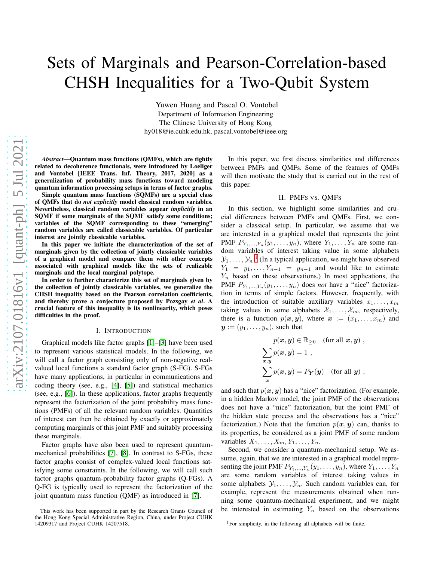# Sets of Marginals and Pearson-Correlation-based CHSH Inequalities for a Two-Qubit System

Yuwen Huang and Pascal O. Vontobel Department of Information Engineering The Chinese University of Hong Kong hy018@ie.cuhk.edu.hk, pascal.vontobel@ieee.org

*Abstract*—Quantum mass functions (QMFs), which are tightly related to decoherence functionals, were introduced by Loeliger and Vontobel [IEEE Trans. Inf. Theory, 2017, 2020] as a generalization of probability mass functions toward modeling quantum information processing setups in terms of factor graphs.

Simple quantum mass functions (SQMFs) are a special class of QMFs that do *not explicitly* model classical random variables. Nevertheless, classical random variables appear *implicitly* in an SQMF if some marginals of the SQMF satisfy some conditions; variables of the SQMF corresponding to these "emerging" random variables are called classicable variables. Of particular interest are jointly classicable variables.

In this paper we initiate the characterization of the set of marginals given by the collection of jointly classicable variables of a graphical model and compare them with other concepts associated with graphical models like the sets of realizable marginals and the local marginal polytope.

In order to further characterize this set of marginals given by the collection of jointly classicable variables, we generalize the CHSH inequality based on the Pearson correlation coefficients, and thereby prove a conjecture proposed by Pozsgay *et al*. A crucial feature of this inequality is its nonlinearity, which poses difficulties in the proof.

#### I. INTRODUCTION

Graphical models like factor graphs [\[1\]](#page-5-0)–[\[3\]](#page-5-1) have been used to represent various statistical models. In the following, we will call a factor graph consisting only of non-negative realvalued local functions a standard factor graph (S-FG). S-FGs have many applications, in particular in communications and coding theory (see, e.g., [\[4\]](#page-5-2), [\[5\]](#page-5-3)) and statistical mechanics (see, e.g., [\[6\]](#page-5-4)). In these applications, factor graphs frequently represent the factorization of the joint probability mass functions (PMFs) of all the relevant random variables. Quantities of interest can then be obtained by exactly or approximately computing marginals of this joint PMF and suitably processing these marginals.

Factor graphs have also been used to represent quantummechanical probabilities [\[7\]](#page-5-5), [\[8\]](#page-5-6). In contrast to S-FGs, these factor graphs consist of complex-valued local functions satisfying some constraints. In the following, we will call such factor graphs quantum-probability factor graphs (Q-FGs). A Q-FG is typically used to represent the factorization of the joint quantum mass function (QMF) as introduced in [\[7\]](#page-5-5).

In this paper, we first discuss similarities and differences between PMFs and QMFs. Some of the features of QMFs will then motivate the study that is carried out in the rest of this paper.

### II. PMFS VS. QMFS

In this section, we highlight some similarities and crucial differences between PMFs and QMFs. First, we consider a classical setup. In particular, we assume that we are interested in a graphical model that represents the joint PMF  $P_{Y_1,...,Y_n}(y_1,...,y_n)$ , where  $Y_1,...,Y_n$  are some random variables of interest taking value in some alphabets  $\mathcal{Y}_1, \ldots, \mathcal{Y}_n$  $\mathcal{Y}_1, \ldots, \mathcal{Y}_n$  $\mathcal{Y}_1, \ldots, \mathcal{Y}_n$ .<sup>1</sup> (In a typical application, we might have observed  $Y_1 = y_1, \ldots, Y_{n-1} = y_{n-1}$  and would like to estimate  $Y_n$  based on these observations.) In most applications, the PMF  $P_{Y_1,...,Y_n}(y_1,...,y_n)$  does *not* have a "nice" factorization in terms of simple factors. However, frequently, with the introduction of suitable auxiliary variables  $x_1, \ldots, x_m$ taking values in some alphabets  $\mathcal{X}_1, \ldots, \mathcal{X}_m$ , respectively, there is a function  $p(x, y)$ , where  $x := (x_1, \ldots, x_m)$  and  $y := (y_1, \ldots, y_n)$ , such that

$$
p(\boldsymbol{x}, \boldsymbol{y}) \in \mathbb{R}_{\geq 0} \quad \text{(for all } \boldsymbol{x}, \boldsymbol{y}) ,
$$

$$
\sum_{\boldsymbol{x}, \boldsymbol{y}} p(\boldsymbol{x}, \boldsymbol{y}) = 1 ,
$$

$$
\sum_{\boldsymbol{x}} p(\boldsymbol{x}, \boldsymbol{y}) = P_{\boldsymbol{Y}}(\boldsymbol{y}) \quad \text{(for all } \boldsymbol{y}) ,
$$

and such that  $p(x, y)$  has a "nice" factorization. (For example, in a hidden Markov model, the joint PMF of the observations does not have a "nice" factorization, but the joint PMF of the hidden state process and the observations has a "nice" factorization.) Note that the function  $p(x, y)$  can, thanks to its properties, be considered as a joint PMF of some random variables  $X_1, \ldots, X_m, Y_1, \ldots, Y_n$ .

Second, we consider a quantum-mechanical setup. We assume, again, that we are interested in a graphical model representing the joint PMF  $P_{Y_1,...,Y_n}(y_1,...,y_n)$ , where  $Y_1,...,Y_n$ are some random variables of interest taking values in some alphabets  $\mathcal{Y}_1, \ldots, \mathcal{Y}_n$ . Such random variables can, for example, represent the measurements obtained when running some quantum-mechanical experiment, and we might be interested in estimating  $Y_n$  based on the observations

This work has been supported in part by the Research Grants Council of the Hong Kong Special Administrative Region, China, under Project CUHK 14209317 and Project CUHK 14207518.

<span id="page-0-0"></span><sup>&</sup>lt;sup>1</sup>For simplicity, in the following all alphabets will be finite.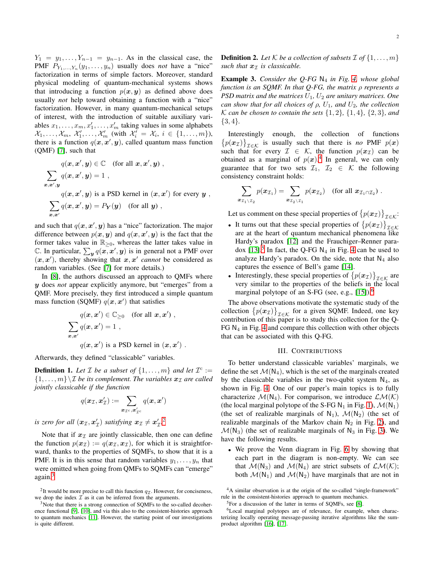$Y_1 = y_1, \ldots, Y_{n-1} = y_{n-1}$ . As in the classical case, the PMF  $P_{Y_1,...,Y_n}(y_1,...,y_n)$  usually does *not* have a "nice" factorization in terms of simple factors. Moreover, standard physical modeling of quantum-mechanical systems shows that introducing a function  $p(x, y)$  as defined above does usually *not* help toward obtaining a function with a "nice" factorization. However, in many quantum-mechanical setups of interest, with the introduction of suitable auxiliary variables  $x_1, \ldots, x_m, x'_1, \ldots, x'_m$  taking values in some alphabets  $\mathcal{X}_1, \ldots, \mathcal{X}_m, \ \mathcal{X}'_1, \ldots, \mathcal{X}'_m$  (with  $\mathcal{X}'_i = \mathcal{X}_i, \ i \in \{1, \ldots, m\}$ ), there is a function  $q(x, x', y)$ , called quantum mass function (QMF) [\[7\]](#page-5-5), such that

$$
q(x, x', y) \in \mathbb{C} \quad \text{(for all } x, x', y) ,
$$
  

$$
\sum_{x, x', y} q(x, x', y) = 1 ,
$$
  

$$
q(x, x', y) \text{ is a PSD Kernel in } (x, x') \text{ for every } y ,
$$
  

$$
\sum_{x, x'} q(x, x', y) = P_Y(y) \quad \text{(for all } y) ,
$$

and such that  $q(x, x', y)$  has a "nice" factorization. The major difference between  $p(x, y)$  and  $q(x, x', y)$  is the fact that the former takes value in  $\mathbb{R}_{\geq 0}$ , whereas the latter takes value in C. In particular,  $\sum_{y} q(x, x', y)$  is in general not a PMF over  $(x, x')$ , thereby showing that  $x, x'$  cannot be considered as random variables. (See [\[7\]](#page-5-5) for more details.)

In [\[8\]](#page-5-6), the authors discussed an approach to QMFs where y does *not* appear explicitly anymore, but "emerges" from a QMF. More precisely, they first introduced a simple quantum mass function (SQMF)  $q(x, x')$  that satisfies

$$
q(\mathbf{x}, \mathbf{x}') \in \mathbb{C}_{\geq 0} \text{ (for all } \mathbf{x}, \mathbf{x}') ,
$$
  

$$
\sum_{\mathbf{x}, \mathbf{x}'} q(\mathbf{x}, \mathbf{x}') = 1 ,
$$
  

$$
q(\mathbf{x}, \mathbf{x}') \text{ is a PSD kernel in } (\mathbf{x}, \mathbf{x}') .
$$

Afterwards, they defined "classicable" variables.

<span id="page-1-5"></span>**Definition 1.** Let  $\mathcal{I}$  be a subset of  $\{1, \ldots, m\}$  and let  $\mathcal{I}^c :=$  $\{1, \ldots, m\} \setminus \mathcal{I}$  *be its complement. The variables*  $\mathbf{x}_\mathcal{I}$  *are called jointly classicable if the function*

$$
q(\mathbf{x}_{\mathcal{I}}, \mathbf{x}_{\mathcal{I}}') := \sum_{\mathbf{x}_{\mathcal{I}^c}, \mathbf{x}_{\mathcal{I}^c}'} q(\mathbf{x}, \mathbf{x}')
$$

*is zero for all*  $(x_{\mathcal{I}}, x_{\mathcal{I}}')$  *satisfying*  $x_{\mathcal{I}} \neq x_{\mathcal{I}}'.^2$  $x_{\mathcal{I}} \neq x_{\mathcal{I}}'.^2$ 

Note that if  $x<sub>I</sub>$  are jointly classicable, then one can define the function  $p(x_I) := q(x_I, x_I)$ , for which it is straightforward, thanks to the properties of SQMFs, to show that it is a PMF. It is in this sense that random variables  $y_1, \ldots, y_n$  that were omitted when going from QMFs to SQMFs can "emerge" again.[3](#page-1-1)

**Definition 2.** Let  $K$  be a collection of subsets  $I$  of  $\{1, \ldots, m\}$ *such that*  $x<sub>T</sub>$  *is classicable.* 

Example 3. *Consider the Q-FG* N<sup>4</sup> *in Fig. [4,](#page-2-0) whose global function is an SQMF. In that Q-FG, the matrix* ρ *represents a PSD matrix and the matrices*  $U_1$ ,  $U_2$  *are unitary matrices. One can show that for all choices of*  $\rho$ ,  $U_1$ , and  $U_2$ , the collection *K* can be chosen to contain the sets  $\{1, 2\}$ ,  $\{1, 4\}$ ,  $\{2, 3\}$ , and {3, 4}*.*

Interestingly enough, the collection of functions  ${p(x_1)}_{\text{I} \in \mathcal{K}}$  is usually such that there is *no* PMF  $p(x)$ such that for every  $\mathcal{I} \in \mathcal{K}$ , the function  $p(x_{\mathcal{I}})$  can be obtained as a marginal of  $p(x)$ .<sup>[4](#page-1-2)</sup> In general, we can only guarantee that for two sets  $\mathcal{I}_1, \mathcal{I}_2 \in \mathcal{K}$  the following consistency constraint holds:

$$
\sum_{\boldsymbol{x}_{\mathcal{I}_1\setminus\mathcal{I}_2}}p(\boldsymbol{x}_{\mathcal{I}_1})=\sum_{\boldsymbol{x}_{\mathcal{I}_2\setminus\mathcal{I}_1}}p(\boldsymbol{x}_{\mathcal{I}_2})\quad \text{(for all $\boldsymbol{x}_{\mathcal{I}_1\cap\mathcal{I}_2}$)}\ .
$$

Let us comment on these special properties of  $\{p(\boldsymbol{x}_{\mathcal{I}})\}_{\mathcal{I}\in\mathcal{K}}$ :

- It turns out that these special properties of  $\{p(\boldsymbol{x}_{\mathcal{I}})\}_{\mathcal{I}\in\mathcal{K}}$ are at the heart of quantum mechanical phenomena like Hardy's paradox [\[12\]](#page-5-10) and the Frauchiger–Renner paradox  $[13]$ <sup>[5](#page-1-3)</sup>. In fact, the Q-FG N<sub>4</sub> in Fig. [4](#page-2-0) can be used to analyze Hardy's paradox. On the side, note that  $N_4$  also captures the essence of Bell's game [\[14\]](#page-5-12).
- Interestingly, these special properties of  $\{p(\boldsymbol{x}_{\mathcal{I}})\}_{\mathcal{I}\in\mathcal{K}}$  are very similar to the properties of the beliefs in the local marginal polytope of an S-FG (see, e.g.,  $[15]$ ).<sup>[6](#page-1-4)</sup>

The above observations motivate the systematic study of the collection  $\{p(x_{\mathcal{I}})\}_{\mathcal{I}\in\mathcal{K}}$  for a given SQMF. Indeed, one key contribution of this paper is to study this collection for the Q-FG  $N_4$  in Fig. [4](#page-2-0) and compare this collection with other objects that can be associated with this Q-FG.

#### III. CONTRIBUTIONS

To better understand classicable variables' marginals, we define the set  $\mathcal{M}(N_4)$ , which is the set of the marginals created by the classicable variables in the two-qubit system  $N_4$ , as shown in Fig. [4.](#page-2-0) One of our paper's main topics is to fully characterize  $\mathcal{M}(N_4)$ . For comparison, we introduce  $\mathcal{LM}(\mathcal{K})$ (the local marginal polytope of the S-FG N<sub>1</sub> in Fig. [1\)](#page-2-0),  $\mathcal{M}(N_1)$ (the set of realizable marginals of  $N_1$ ),  $\mathcal{M}(N_2)$  (the set of realizable marginals of the Markov chain  $N_2$  in Fig. [2\)](#page-2-0), and  $\mathcal{M}(N_3)$  (the set of realizable marginals of  $N_3$  in Fig. [3\)](#page-2-0). We have the following results.

• We prove the Venn diagram in Fig. [6](#page-2-0) by showing that each part in the diagram is non-empty. We can see that  $\mathcal{M}(N_3)$  and  $\mathcal{M}(N_4)$  are strict subsets of  $\mathcal{LM}(\mathcal{K})$ ; both  $\mathcal{M}(N_1)$  and  $\mathcal{M}(N_2)$  have marginals that are not in

<span id="page-1-0"></span><sup>&</sup>lt;sup>2</sup>It would be more precise to call this function  $q_{\mathcal{I}}$ . However, for conciseness, we drop the index  $\overline{\mathcal{I}}$  as it can be inferred from the arguments.

<span id="page-1-1"></span> $3$ Note that there is a strong connection of SQMFs to the so-called decoherence functional [\[9\]](#page-5-7), [\[10\]](#page-5-8), and via this also to the consistent-histories approach to quantum mechanics [\[11\]](#page-5-9). However, the starting point of our investigations is quite different.

<sup>4</sup>A similar observation is at the origin of the so-called "single-framework" rule in the consistent-histories approach to quantum mechanics.

<span id="page-1-3"></span><span id="page-1-2"></span><sup>5</sup>For a discussion of the latter in terms of SQMFs, see [\[8\]](#page-5-6).

<span id="page-1-4"></span><sup>6</sup>Local marginal polytopes are of relevance, for example, when characterizing locally operating message-passing iterative algorithms like the sumproduct algorithm [\[16\]](#page-5-14), [\[17\]](#page-5-15).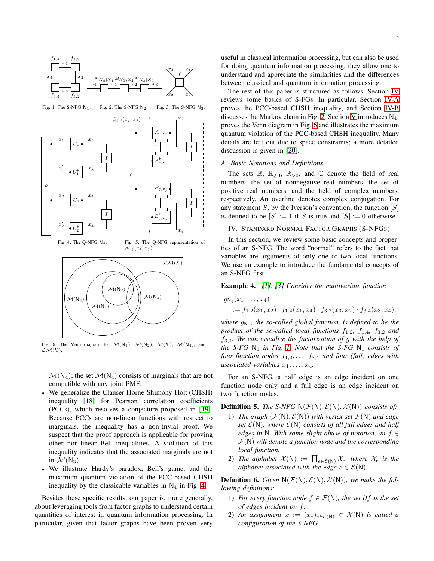<span id="page-2-0"></span>

Fig. 1: The S-NFG  $N_1$ . Fig. 2: The S-NFG  $N_2$ . Fig. 3: The S-NFG N3.



Fig. 6: The Venn diagram for  $\mathcal{M}(N_1)$ ,  $\mathcal{M}(N_2)$ ,  $\mathcal{M}(K)$ ,  $\mathcal{M}(N_4)$ , and  $LM(K)$ .

 $M(N)$ 

 $\mathcal{M}(N_4)$ ; the set  $\mathcal{M}(N_4)$  consists of marginals that are not compatible with any joint PMF.

- We generalize the Clauser-Horne-Shimony-Holt (CHSH) inequality [\[18\]](#page-5-16) for Pearson correlation coefficients (PCCs), which resolves a conjecture proposed in [\[19\]](#page-5-17). Because PCCs are non-linear functions with respect to marginals, the inequality has a non-trivial proof. We suspect that the proof approach is applicable for proving other non-linear Bell inequalities. A violation of this inequality indicates that the associated marginals are not in  $\mathcal{M}(N_3)$ .
- We illustrate Hardy's paradox, Bell's game, and the maximum quantum violation of the PCC-based CHSH inequality by the classicable variables in  $N_4$  in Fig. [4.](#page-2-0)

Besides these specific results, our paper is, more generally, about leveraging tools from factor graphs to understand certain quantities of interest in quantum information processing. In particular, given that factor graphs have been proven very

useful in classical information processing, but can also be used for doing quantum information processing, they allow one to understand and appreciate the similarities and the differences between classical and quantum information processing.

The rest of this paper is structured as follows. Section [IV](#page-2-1) reviews some basics of S-FGs. In particular, Section [IV-A](#page-3-0) proves the PCC-based CHSH inequality, and Section [IV-B](#page-4-0) discusses the Markov chain in Fig. [2.](#page-2-0) Section [V](#page-4-1) introduces  $N_4$ , proves the Venn diagram in Fig. [6](#page-2-0) and illustrates the maximum quantum violation of the PCC-based CHSH inequality. Many details are left out due to space constraints; a more detailed discussion is given in [\[20\]](#page-5-18).

#### *A. Basic Notations and Definitions*

The sets  $\mathbb{R}, \mathbb{R}_{\geq 0}, \mathbb{R}_{\geq 0}$ , and  $\mathbb C$  denote the field of real numbers, the set of nonnegative real numbers, the set of positive real numbers, and the field of complex numbers, respectively. An overline denotes complex conjugation. For any statement  $S$ , by the Iverson's convention, the function  $[S]$ is defined to be  $[S] := 1$  if S is true and  $[S] := 0$  otherwise.

### <span id="page-2-1"></span>IV. STANDARD NORMAL FACTOR GRAPHS (S-NFGS)

In this section, we review some basic concepts and properties of an S-NFG. The word "normal" refers to the fact that variables are arguments of only one or two local functions. We use an example to introduce the fundamental concepts of an S-NFG first.

Example 4. *[\[1\]](#page-5-0), [\[3\]](#page-5-1) Consider the multivariate function*

$$
g_{\mathsf{N}_1}(x_1,\ldots,x_4) = f_{1,2}(x_1,x_2) \cdot f_{1,4}(x_1,x_4) \cdot f_{3,2}(x_3,x_2) \cdot f_{3,4}(x_3,x_4),
$$

where  $g_{N_1}$ , the so-called global function, is defined to be the *product of the so-called local functions*  $f_{1,2}$ ,  $f_{1,4}$ ,  $f_{3,2}$  and f3,4*. We can visualize the factorization of* g *with the help of the* S-FG  $N_1$  *in Fig.* [1.](#page-2-0) Note that the S-FG  $N_1$  consists of *four function nodes*  $f_{1,2}, \ldots, f_{3,4}$  *and four (full) edges with associated variables*  $x_1, \ldots, x_4$ .

For an S-NFG, a half edge is an edge incident on one function node only and a full edge is an edge incident on two function nodes.

**Definition 5.** *The S-NFG*  $N(\mathcal{F}(N), \mathcal{E}(N), \mathcal{X}(N))$  *consists of:* 

- 1) *The graph*  $(F(N), E(N))$  *with vertex set*  $F(N)$  *and edge set*  $\mathcal{E}(\mathsf{N})$ *, where*  $\mathcal{E}(\mathsf{N})$  *consists of all full edges and half edges in* <sup>N</sup>*. With some slight abuse of notation, an* <sup>f</sup> <sup>∈</sup> <sup>F</sup>(N) *will denote a function node and the corresponding local function.*
- 2) *The alphabet*  $\mathcal{X}(\mathsf{N}) := \prod_{e \in \mathcal{E}(\mathsf{N})} \mathcal{X}_e$ *, where*  $\mathcal{X}_e$  *is the alphabet associated with the edge*  $e \in \mathcal{E}(\mathbb{N})$ *.*

**Definition 6.** Given  $N(\mathcal{F}(N), \mathcal{E}(N), \mathcal{X}(N))$ , we make the fol*lowing definitions:*

- 1) *For every function node* <sup>f</sup> ∈ F(N)*, the set* ∂f *is the set of edges incident on* f*.*
- 2) An assignment  $x := (x_e)_{e \in \mathcal{E}(N)} \in \mathcal{X}(N)$  is called a *configuration of the S-NFG.*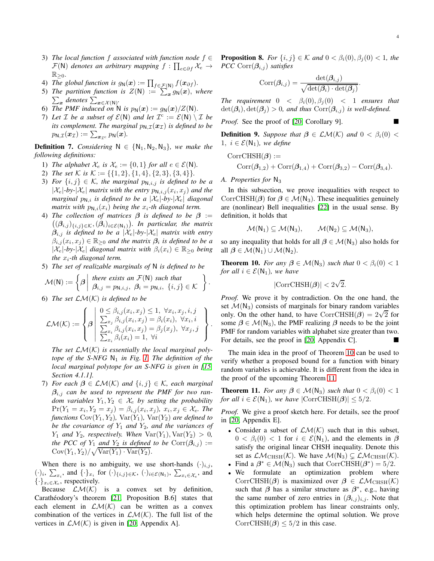- 3) *The local function* f *associated with function node* f ∈  $\mathcal{F}(\mathsf{N})$  *denotes an arbitrary mapping*  $f : \prod_{e \in \partial f} \mathcal{X}_e \rightarrow$  $\mathbb{R}_{\geq 0}$ .
- 4) The global function is  $g_N(x) := \prod_{f \in \mathcal{F}(N)} f(x_{\partial f}).$
- 5) The partition function is  $Z(N) := \sum_{x=0}^{N} g_N(x)$ , where *The paramon function is*  $Z(N)$  *.—*  $\sum_{x}$  *denotes*  $\sum_{x \in \mathcal{X}(N)}$ .
- 6) The PMF induced on N is  $p_N(x) := g_N(x)/Z(N)$ .
- 7) Let  $\mathcal I$  be a subset of  $\mathcal E(\mathsf{N})$  and let  $\mathcal I^c := \mathcal E(\mathsf{N}) \setminus \mathcal I$  be *its complement. The marginal*  $p_{N,T}(x_T)$  *is defined to be*  $p_{\mathsf{N},\mathcal{I}}(\boldsymbol{x}_{\mathcal{I}}) := \sum_{\boldsymbol{x}_{\mathcal{I}^c}} p_{\mathsf{N}}(\boldsymbol{x}).$

**Definition 7.** *Considering*  $N \in \{N_1, N_2, N_3\}$ *, we make the following definitions:*

- 1) *The alphabet*  $\mathcal{X}_e$  *is*  $\mathcal{X}_e := \{0, 1\}$  *for all*  $e \in \mathcal{E}(\mathbb{N})$ *.*
- 2) *The set* K *is*  $K := \{\{1, 2\}, \{1, 4\}, \{2, 3\}, \{3, 4\}\}.$
- 3) *For*  $\{i, j\} \in \mathcal{K}$ , the marginal  $p_{\mathsf{N},i,j}$  is defined to be a  $|\mathcal{X}_e|$ -by- $|\mathcal{X}_e|$  *matrix with the entry*  $p_{\mathsf{N},i,j}(x_i,x_j)$  *and the marginal*  $p_{N,i}$  *is defined to be a*  $|\mathcal{X}_e|$ *-by-* $|\mathcal{X}_e|$  *diagonal matrix with*  $p_{N,i}(x_i)$  *being the*  $x_i$ -th diagonal term.
- 4) *The collection of matrices* β *is defined to be* β :=  $((\beta_{i,j})_{\{i,j\}\in\mathcal{K}},(\beta_i)_{i\in\mathcal{E}(\mathbb{N}_1)})$ . In particular, the matrix  $\beta_{i,j}$  *is defined to be a*  $|\mathcal{X}_e|$ -by- $|\mathcal{X}_e|$  *matrix with entry*  $\beta_{i,j}(x_i,x_j) \in \mathbb{R}_{\geq 0}$  and the matrix  $\beta_i$  is defined to be a  $|\mathcal{X}_e|$ -by- $|\mathcal{X}_e|$  *diagonal matrix with*  $\beta_i(x_i) \in \mathbb{R}_{\geq 0}$  *being the*  $x_i$ -th diagonal term.
- 5) *The set of realizable marginals of* N *is defined to be*

$$
\mathcal{M}(\mathsf{N}) := \left\{ \beta \middle| \begin{array}{l} \text{there exists an } \mathcal{F}(\mathsf{N}) \text{ such that} \\ \beta_{i,j} = p_{\mathsf{N},i,j}, \ \beta_i = p_{\mathsf{N},i}, \ \{i,j\} \in \mathcal{K} \end{array} \right\}.
$$

6) *The set* LM(K) *is defined to be*

$$
\mathcal{LM}(\mathcal{K}) := \left\{\beta \left| \begin{array}{l} 0 \leq \beta_{i,j}(x_i, x_j) \leq 1, \ \forall x_i, x_j, i, j \\ \sum_{x_j} \beta_{i,j}(x_i, x_j) = \beta_i(x_i), \ \forall x_i, i \\ \sum_{x_i} \beta_{i,j}(x_i, x_j) = \beta_j(x_j), \ \forall x_j, j \\ \sum_{x_i} \beta_i(x_i) = 1, \ \forall i \end{array} \right\}\right\}
$$

The set  $LM(K)$  is essentially the local marginal poly*tope of the S-NFG*  $N_1$  *in Fig. [1.](#page-2-0) The definition of the local marginal polytope for an S-NFG is given in [\[15,](#page-5-13) Section 4.1.1].*

7) *For each* β ∈ LM(K) *and* {i, j} ∈ K*, each marginal* βi,j *can be used to represent the PMF for two random variables*  $Y_1, Y_2 \in \mathcal{X}_e$  by setting the probability  $Pr(Y_1 = x_i, Y_2 = x_j) = \beta_{i,j}(x_i, x_j), x_i, x_j \in \mathcal{X}_e$ . The *functions*  $Cov(Y_1, Y_2)$ *,*  $Var(Y_1)$ *,*  $Var(Y_2)$  *are defined to be the covariance of*  $Y_1$  *and*  $Y_2$ *, and the variances of*  $Y_1$  *and*  $Y_2$ *, respectively. When*  $\text{Var}(Y_1)$ *,*  $\text{Var}(Y_2) > 0$ *, the PCC of*  $Y_1$  *and*  $Y_2$  *is defined to be*  $Corr(\beta_{i,j})$  :=  $Cov(Y_1, Y_2) / \sqrt{Var(Y_1) \cdot Var(Y_2)}$ .

When there is no ambiguity, we use short-hands  $(\cdot)_{i,j}$ ,  $(\cdot)_i, \sum_{x_i}$ , and  $\{\cdot\}_{x_i}$  for  $(\cdot)_{\{i,j\}\in\mathcal{K}}$ ,  $(\cdot)_{i\in\mathcal{E}(\mathsf{N}_1)}$ ,  $\sum_{x_i\in\mathcal{X}_e}$ , and  $\{\cdot\}_{x_i \in \mathcal{X}_e}$ , respectively.

Because  $LM(K)$  is a convex set by definition, Carathéodory's theorem [\[21,](#page-5-19) Proposition B.6] states that each element in  $LM(K)$  can be written as a convex combination of the vertices in  $\mathcal{LM}(\mathcal{K})$ . The full list of the vertices in  $\mathcal{LM}(\mathcal{K})$  is given in [\[20,](#page-5-18) Appendix A].

**Proposition 8.** *For*  $\{i, j\} \in \mathcal{K}$  *and*  $0 < \beta_i(0), \beta_j(0) < 1$ *, the PCC*  $Corr(\beta_{i,j})$  *satisfies* 

$$
Corr(\beta_{i,j}) = \frac{\det(\beta_{i,j})}{\sqrt{\det(\beta_i) \cdot \det(\beta_j)}}.
$$

*The requirement*  $0 < \beta_i(0), \beta_i(0) < 1$  *ensures that*  $\det(\beta_i)$ ,  $\det(\beta_j) > 0$ , and thus  $Corr(\beta_{i,j})$  *is well-defined.* 

*Proof.* See the proof of [\[20,](#page-5-18) Corollary 9].

**Definition 9.** Suppose that  $\beta \in \mathcal{LM}(\mathcal{K})$  and  $0 < \beta_i(0)$ 1,  $i \in \mathcal{E}(\mathsf{N}_1)$ *, we define* 

CorrCHSH(
$$
\boldsymbol{\beta}
$$
) :=  
Corr( $\boldsymbol{\beta}_{1,2}$ ) + Corr( $\boldsymbol{\beta}_{1,4}$ ) + Corr( $\boldsymbol{\beta}_{3,2}$ ) - Corr( $\boldsymbol{\beta}_{3,4}$ ).

<span id="page-3-0"></span>*A. Properties for*  $N_3$ 

.

In this subsection, we prove inequalities with respect to CorrCHSH( $\beta$ ) for  $\beta \in \mathcal{M}(N_3)$ . These inequalities genuinely are (nonlinear) Bell inequalities [\[22\]](#page-5-20) in the usual sense. By definition, it holds that

$$
\mathcal{M}(N_1)\subseteq \mathcal{M}(N_3),\qquad \mathcal{M}(N_2)\subseteq \mathcal{M}(N_3),
$$

so any inequality that holds for all  $\beta \in \mathcal{M}(N_3)$  also holds for all  $\beta \in \mathcal{M}(N_1) \cup \mathcal{M}(N_2)$ .

<span id="page-3-1"></span>**Theorem 10.** *For any*  $\beta \in \mathcal{M}(N_3)$  *such that*  $0 < \beta_i(0) < 1$ *for all*  $i \in \mathcal{E}(\mathsf{N}_1)$ *, we have* 

$$
|{\rm CorrCHSH}(\pmb\beta)|<2\sqrt{2}.
$$

*Proof.* We prove it by contradiction. On the one hand, the set  $\mathcal{M}(N_3)$  consists of marginals for binary random variables only. On the other hand, to have CorrCHSH( $\beta$ ) =  $2\sqrt{2}$  for some  $\beta \in \mathcal{M}(N_3)$ , the PMF realizing  $\beta$  needs to be the joint PMF for random variables with alphabet size greater than two. For details, see the proof in [\[20,](#page-5-18) Appendix C].

The main idea in the proof of Theorem [10](#page-3-1) can be used to verify whether a proposed bound for a function with binary random variables is achievable. It is different from the idea in the proof of the upcoming Theorem [11.](#page-3-2)

<span id="page-3-2"></span>**Theorem 11.** *For any*  $\beta \in \mathcal{M}(N_3)$  *such that*  $0 < \beta_i(0) < 1$ *for all*  $i \in \mathcal{E}(\mathsf{N}_1)$ *, we have*  $|\text{CorrCHSH}(\boldsymbol{\beta})| \leq 5/2$ *.* 

*Proof.* We give a proof sketch here. For details, see the proof in [\[20,](#page-5-18) Appendix E].

- Consider a subset of  $LM(K)$  such that in this subset,  $0 < \beta_i(0) < 1$  for  $i \in \mathcal{E}(\mathsf{N}_1)$ , and the elements in  $\boldsymbol{\beta}$ satisfy the original linear CHSH inequality. Denote this set as  $\mathcal{LM}_{CHSH}(\mathcal{K})$ . We have  $\mathcal{M}(N_3) \subsetneq \mathcal{LM}_{CHSH}(\mathcal{K})$ .
- Find a  $\beta^* \in \mathcal{M}(N_3)$  such that CorrCHSH( $\beta^*$ ) = 5/2.
- We formulate an optimization problem where CorrCHSH( $\beta$ ) is maximized over  $\beta \in \mathcal{LM}_{CHSH}(\mathcal{K})$ such that  $\beta$  has a similar structure as  $\beta^*$ , e.g., having the same number of zero entries in  $(\beta_{i,j})_{i,j}$ . Note that this optimization problem has linear constraints only, which helps determine the optimal solution. We prove CorrCHSH( $\beta$ ) < 5/2 in this case.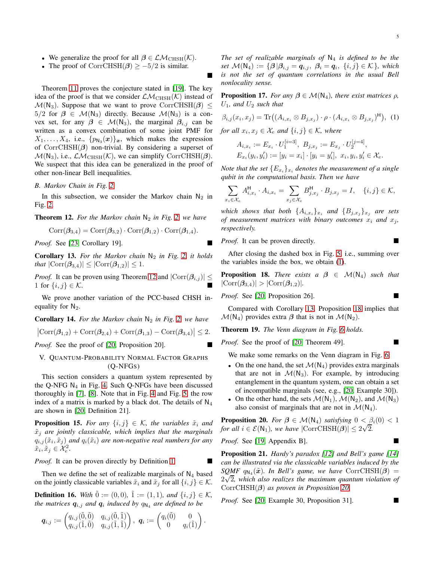- We generalize the proof for all  $\beta \in \mathcal{LM}_{\text{CHSH}}(\mathcal{K})$ .
- The proof of CorrCHSH( $\beta$ )  $\geq -5/2$  is similar.

Theorem [11](#page-3-2) proves the conjecture stated in [\[19\]](#page-5-17). The key idea of the proof is that we consider  $\mathcal{LM}_{CHSH}(\mathcal{K})$  instead of  $\mathcal{M}(N_3)$ . Suppose that we want to prove CorrCHSH( $\beta$ )  $\leq$  $5/2$  for  $\beta \in \mathcal{M}(N_3)$  directly. Because  $\mathcal{M}(N_3)$  is a convex set, for any  $\beta \in \mathcal{M}(N_3)$ , the marginal  $\beta_{i,j}$  can be written as a convex combination of some joint PMF for  $X_1, \ldots, X_4$ , i.e.,  $\{p_{\mathsf{N}_3}(\boldsymbol{x})\}_{\boldsymbol{x}}$ , which makes the expression of CorrCHSH $(\beta)$  non-trivial. By considering a superset of  $\mathcal{M}(N_3)$ , i.e.,  $\mathcal{LM}_{CHSH}(\mathcal{K})$ , we can simplify CorrCHSH( $\beta$ ). We suspect that this idea can be generalized in the proof of other non-linear Bell inequalities.

## <span id="page-4-0"></span>*B. Markov Chain in Fig. [2](#page-2-0)*

In this subsection, we consider the Markov chain  $N_2$  in Fig. [2.](#page-2-0)

<span id="page-4-2"></span>**Theorem 12.** For the Markov chain  $N_2$  in Fig. [2,](#page-2-0) we have

$$
Corr(\boldsymbol{\beta}_{3,4}) = Corr(\boldsymbol{\beta}_{3,2}) \cdot Corr(\boldsymbol{\beta}_{1,2}) \cdot Corr(\boldsymbol{\beta}_{1,4}).
$$

*Proof.* See [\[23,](#page-5-21) Corollary 19].

<span id="page-4-4"></span>**Corollary 13.** For the Markov chain  $N_2$  in Fig. [2,](#page-2-0) it holds *that*  $|\text{Corr}(\beta_{3,4})| \leq |\text{Corr}(\beta_{1,2})| \leq 1.$ 

*Proof.* It can be proven using Theorem [12](#page-4-2) and  $|\text{Corr}(\beta_{i,j})| \leq$ 1 for  $\{i, j\} \in \mathcal{K}$ .

We prove another variation of the PCC-based CHSH inequality for  $N_2$ .

**Corollary 14.** For the Markov chain  $N_2$  in Fig. [2,](#page-2-0) we have

 $|\text{Corr}(\beta_{1,2}) + \text{Corr}(\beta_{2,4}) + \text{Corr}(\beta_{1,3}) - \text{Corr}(\beta_{3,4})| \leq 2.$ 

<span id="page-4-1"></span>*Proof.* See the proof of [\[20,](#page-5-18) Proposition 20].

## V. QUANTUM-PROBABILITY NORMAL FACTOR GRAPHS (Q-NFGS)

This section considers a quantum system represented by the Q-NFG  $N_4$  in Fig. [4.](#page-2-0) Such Q-NFGs have been discussed thoroughly in [\[7\]](#page-5-5), [\[8\]](#page-5-6). Note that in Fig. [4](#page-2-0) and Fig. [5,](#page-2-0) the row index of a matrix is marked by a black dot. The details of  $N_4$ are shown in [\[20,](#page-5-18) Definition 21].

**Proposition 15.** For any  $\{i, j\} \in \mathcal{K}$ , the variables  $\tilde{x}_i$  and  $\tilde{x}_i$  are jointly classicable, which implies that the marginals  $q_{i,j}(\tilde{x}_i, \tilde{x}_j)$  and  $q_i(\tilde{x}_i)$  are non-negative real numbers for any  $\tilde{x}_i, \tilde{x}_j \in \mathcal{X}_e^2.$ 

*Proof.* It can be proven directly by Definition [1.](#page-1-5)

Then we define the set of realizable marginals of  $N_4$  based on the jointly classicable variables  $\tilde{x}_i$  and  $\tilde{x}_j$  for all  $\{i, j\} \in \mathcal{K}$ .

**Definition 16.** *With*  $\tilde{0} := (0, 0)$ *,*  $\tilde{1} := (1, 1)$ *, and*  $\{i, j\} \in \mathcal{K}$ *, the matrices*  $q_{i,j}$  and  $q_i$  induced by  $q_{\text{N}_4}$  are defined to be

$$
\boldsymbol{q}_{i,j} := \begin{pmatrix} q_{i,j}(\tilde{0},\tilde{0}) & q_{i,j}(\tilde{0},\tilde{1}) \\ q_{i,j}(\tilde{1},\tilde{0}) & q_{i,j}(\tilde{1},\tilde{1}) \end{pmatrix}, \ \boldsymbol{q}_i := \begin{pmatrix} q_i(\tilde{0}) & 0 \\ 0 & q_i(\tilde{1}) \end{pmatrix}.
$$

*The set of realizable marginals of*  $N_4$  *is defined to be the set*  $\mathcal{M}(\mathsf{N}_4) := \{ \beta | \beta_{i,j} = q_{i,j}, \ \beta_i = q_i, \ \{i,j\} \in \mathcal{K} \}$ *, which is not the set of quantum correlations in the usual Bell nonlocality sense.*

**Proposition 17.** *For any*  $\beta \in \mathcal{M}(N_4)$ *, there exist matrices*  $\rho$ *,*  $U_1$ *, and*  $U_2$  *such that* 

$$
\beta_{i,j}(x_i, x_j) = \text{Tr}\big((A_{i,x_i} \otimes B_{j,x_j}) \cdot \rho \cdot (A_{i,x_i} \otimes B_{j,x_j})^{\mathsf{H}}\big), \tag{1}
$$

*for all*  $x_i, x_j \in \mathcal{X}_e$  *and*  $\{i, j\} \in \mathcal{K}$ *, where* 

<span id="page-4-3"></span>
$$
A_{i,x_i} := E_{x_i} \cdot U_1^{[i=3]}, \ B_{j,x_j} := E_{x_j} \cdot U_2^{[j=4]},
$$
  

$$
E_{x_i}(y_i, y_i') := [y_i = x_i] \cdot [y_i = y_i'], \ x_i, y_i, y_i' \in \mathcal{X}_e.
$$

*Note that the set*  ${E_{x_i}}_{x_i}$  *denotes the measurement of a single qubit in the computational basis. Then we have*

$$
\sum_{x_i \in \mathcal{X}_e} A_{i,x_i}^{\mathsf{H}} \cdot A_{i,x_i} = \sum_{x_j \in \mathcal{X}_e} B_{j,x_j}^{\mathsf{H}} \cdot B_{j,x_j} = I, \quad \{i,j\} \in \mathcal{K},
$$

*which shows that both*  $\{A_{i,x_i}\}_{x_i}$  *and*  $\{B_{j,x_i}\}_{x_i}$  *are sets of measurement matrices with binary outcomes*  $x_i$  *and*  $x_j$ *, respectively.*

*Proof.* It can be proven directly.

After closing the dashed box in Fig. [5,](#page-2-0) i.e., summing over the variables inside the box, we obtain [\(1\)](#page-4-3).

<span id="page-4-5"></span>**Proposition 18.** *There exists a*  $\beta \in M(N_4)$  *such that*  $|\text{Corr}(\beta_{3,4})| > |\text{Corr}(\beta_{1,2})|$ .

*Proof.* See [\[20,](#page-5-18) Proposition 26].

Compared with Corollary [13,](#page-4-4) Proposition [18](#page-4-5) implies that  $\mathcal{M}(N_4)$  provides extra  $\beta$  that is not in  $\mathcal{M}(N_2)$ .

Theorem 19. *The Venn diagram in Fig. [6](#page-2-0) holds.*

*Proof.* See the proof of [\[20,](#page-5-18) Theorem 49].

We make some remarks on the Venn diagram in Fig. [6:](#page-2-0)

- On the one hand, the set  $\mathcal{M}(N_4)$  provides extra marginals that are not in  $\mathcal{M}(N_3)$ . For example, by introducing entanglement in the quantum system, one can obtain a set of incompatible marginals (see, e.g., [\[20,](#page-5-18) Example 30]).
- On the other hand, the sets  $\mathcal{M}(N_1)$ ,  $\mathcal{M}(N_2)$ , and  $\mathcal{M}(N_3)$ also consist of marginals that are not in  $\mathcal{M}(N_4)$ .

<span id="page-4-6"></span>**Proposition 20.** *For*  $\beta \in \mathcal{M}(\mathbb{N}_4)$  *satisfying*  $0 < \beta_i(0) < 1$ *for all*  $i \in \mathcal{E}(\mathsf{N}_1)$ *, we have*  $|\text{CorrCHSH}(\boldsymbol{\beta})| \leq 2\sqrt{2}$ .

*Proof.* See [\[19,](#page-5-17) Appendix B].

Proposition 21. *Hardy's paradox [\[12\]](#page-5-10) and Bell's game [\[14\]](#page-5-12) can be illustrated via the classicable variables induced by the*  $SQMF$   $q_{N_4}(\tilde{x})$ *. In Bell's game, we have*  $CorrCHSH(\beta)$  =  $2\sqrt{2}$ , which also realizes the maximum quantum violation of CorrCHSH(β) *as proven in Proposition [20.](#page-4-6)*

*Proof.* See [\[20,](#page-5-18) Example 30, Proposition 31]. ■

 $\blacksquare$